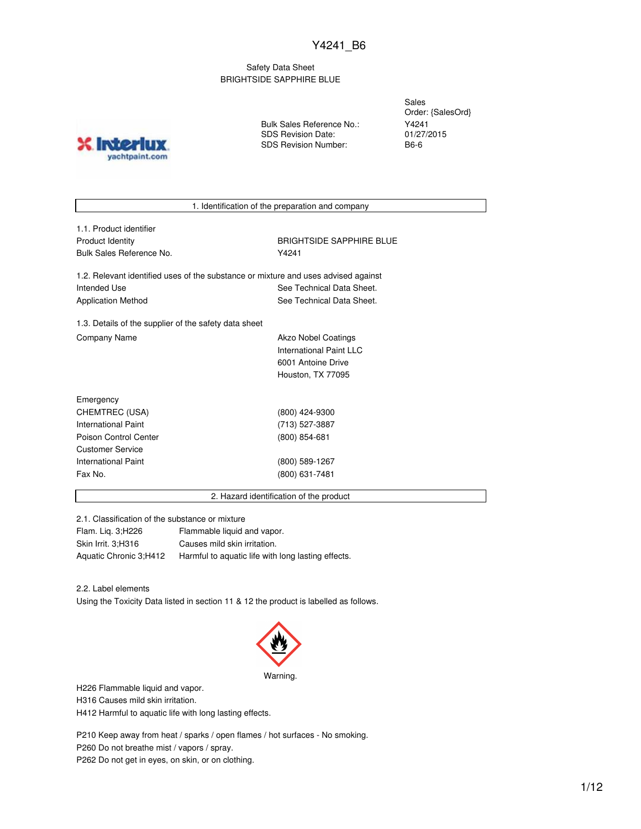## Safety Data Sheet BRIGHTSIDE SAPPHIRE BLUE

**Inter** yachtpaint.com Bulk Sales Reference No.: SDS Revision Date: SDS Revision Number:

Sales Order: {SalesOrd} Y4241 01/27/2015 B6-6

1. Identification of the preparation and company

| 1.1. Product identifier  |
|--------------------------|
| <b>Product Identity</b>  |
| Bulk Sales Reference No. |

BRIGHTSIDE SAPPHIRE BLUE Y4241

1.2. Relevant identified uses of the substance or mixture and uses advised against Intended Use **See Technical Data Sheet.** See Technical Data Sheet. Application Method See Technical Data Sheet.

1.3. Details of the supplier of the safety data sheet Company Name **Akzo Nobel Coatings** 

International Paint LLC 6001 Antoine Drive Houston, TX 77095

| Emergency               |                  |  |
|-------------------------|------------------|--|
| CHEMTREC (USA)          | (800) 424-9300   |  |
| International Paint     | (713) 527-3887   |  |
| Poison Control Center   | $(800)$ 854-681  |  |
| <b>Customer Service</b> |                  |  |
| International Paint     | $(800)$ 589-1267 |  |
| Fax No.                 | (800) 631-7481   |  |
|                         |                  |  |

2. Hazard identification of the product

2.1. Classification of the substance or mixture

| Flam. Lig. 3; H226     | Flammable liquid and vapor.                        |
|------------------------|----------------------------------------------------|
| Skin Irrit. 3:H316     | Causes mild skin irritation.                       |
| Aquatic Chronic 3;H412 | Harmful to aquatic life with long lasting effects. |

2.2. Label elements

Using the Toxicity Data listed in section 11 & 12 the product is labelled as follows.



H226 Flammable liquid and vapor.

H316 Causes mild skin irritation.

H412 Harmful to aquatic life with long lasting effects.

P210 Keep away from heat / sparks / open flames / hot surfaces - No smoking. P260 Do not breathe mist / vapors / spray. P262 Do not get in eyes, on skin, or on clothing.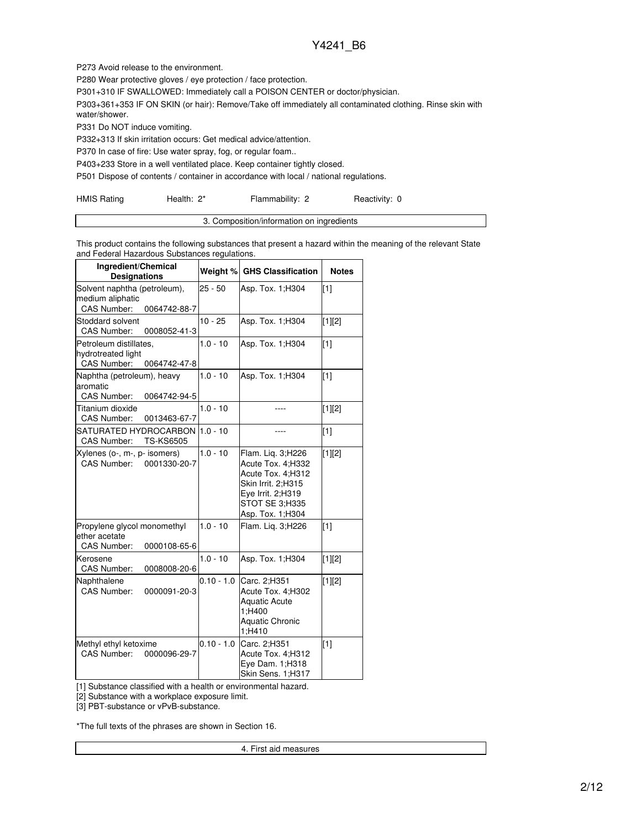P273 Avoid release to the environment.

P280 Wear protective gloves / eye protection / face protection.

P301+310 IF SWALLOWED: Immediately call a POISON CENTER or doctor/physician.

P303+361+353 IF ON SKIN (or hair): Remove/Take off immediately all contaminated clothing. Rinse skin with water/shower.

P331 Do NOT induce vomiting.

P332+313 If skin irritation occurs: Get medical advice/attention.

P370 In case of fire: Use water spray, fog, or regular foam..

P403+233 Store in a well ventilated place. Keep container tightly closed.

P501 Dispose of contents / container in accordance with local / national regulations.

| <b>HMIS Rating</b> | Health: 2* | Flammability: 2 | Reactivity: 0 |
|--------------------|------------|-----------------|---------------|
|--------------------|------------|-----------------|---------------|

| Composition/information on ingredients |
|----------------------------------------|
|                                        |

This product contains the following substances that present a hazard within the meaning of the relevant State and Federal Hazardous Substances regulations.

| Ingredient/Chemical<br><b>Designations</b>                                             |              | Weight % GHS Classification                                                                                                                  | <b>Notes</b>      |
|----------------------------------------------------------------------------------------|--------------|----------------------------------------------------------------------------------------------------------------------------------------------|-------------------|
| Solvent naphtha (petroleum),<br>medium aliphatic<br><b>CAS Number:</b><br>0064742-88-7 | $25 - 50$    | Asp. Tox. 1; H304                                                                                                                            | $\lceil 1 \rceil$ |
| Stoddard solvent<br>CAS Number:<br>0008052-41-3                                        | $10 - 25$    | Asp. Tox. 1; H304                                                                                                                            | $[1][2]$          |
| Petroleum distillates,<br>hydrotreated light<br>CAS Number:<br>0064742-47-8            | $1.0 - 10$   | Asp. Tox. 1; H304                                                                                                                            | $[1]$             |
| Naphtha (petroleum), heavy<br>aromatic<br>CAS Number:<br>0064742-94-5                  | $1.0 - 10$   | Asp. Tox. 1; H304                                                                                                                            | [1]               |
| Titanium dioxide<br><b>CAS Number:</b><br>0013463-67-7                                 | $1.0 - 10$   |                                                                                                                                              | $[1][2]$          |
| SATURATED HYDROCARBON<br>CAS Number:<br><b>TS-KS6505</b>                               | $1.0 - 10$   |                                                                                                                                              | [1]               |
| Xylenes (o-, m-, p- isomers)<br>CAS Number:<br>0001330-20-7                            | $1.0 - 10$   | Flam. Liq. 3;H226<br>Acute Tox. 4:H332<br>Acute Tox. 4;H312<br>Skin Irrit. 2;H315<br>Eye Irrit. 2;H319<br>STOT SE 3;H335<br>Asp. Tox. 1;H304 | [1][2]            |
| Propylene glycol monomethyl<br>ether acetate<br>CAS Number:<br>0000108-65-6            | $1.0 - 10$   | Flam. Lig. 3;H226                                                                                                                            | [1]               |
| Kerosene<br>CAS Number:<br>0008008-20-6                                                | $1.0 - 10$   | Asp. Tox. 1; H304                                                                                                                            | $[1][2]$          |
| Naphthalene<br>CAS Number:<br>0000091-20-3                                             | $0.10 - 1.0$ | Carc. 2:H351<br>Acute Tox. 4:H302<br><b>Aquatic Acute</b><br>1;H400<br><b>Aquatic Chronic</b><br>1;H410                                      | $[1][2]$          |
| Methyl ethyl ketoxime<br><b>CAS Number:</b><br>0000096-29-7                            | $0.10 - 1.0$ | Carc. 2:H351<br>Acute Tox. 4;H312<br>Eye Dam. 1;H318<br>Skin Sens. 1:H317                                                                    | [1]               |

[1] Substance classified with a health or environmental hazard.

[2] Substance with a workplace exposure limit.

[3] PBT-substance or vPvB-substance.

\*The full texts of the phrases are shown in Section 16.

4. First aid measures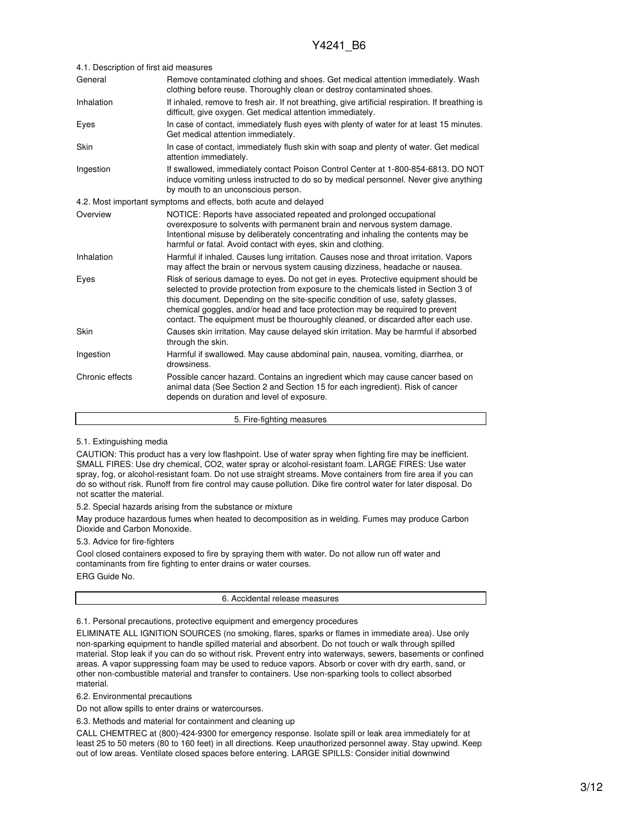| 4.1. Description of first aid measures |                                                                                                                                                                                                                                                                                                                                                                                                                                   |  |  |
|----------------------------------------|-----------------------------------------------------------------------------------------------------------------------------------------------------------------------------------------------------------------------------------------------------------------------------------------------------------------------------------------------------------------------------------------------------------------------------------|--|--|
| General                                | Remove contaminated clothing and shoes. Get medical attention immediately. Wash<br>clothing before reuse. Thoroughly clean or destroy contaminated shoes.                                                                                                                                                                                                                                                                         |  |  |
| Inhalation                             | If inhaled, remove to fresh air. If not breathing, give artificial respiration. If breathing is<br>difficult, give oxygen. Get medical attention immediately.                                                                                                                                                                                                                                                                     |  |  |
| Eyes                                   | In case of contact, immediately flush eyes with plenty of water for at least 15 minutes.<br>Get medical attention immediately.                                                                                                                                                                                                                                                                                                    |  |  |
| Skin                                   | In case of contact, immediately flush skin with soap and plenty of water. Get medical<br>attention immediately.                                                                                                                                                                                                                                                                                                                   |  |  |
| Ingestion                              | If swallowed, immediately contact Poison Control Center at 1-800-854-6813. DO NOT<br>induce vomiting unless instructed to do so by medical personnel. Never give anything<br>by mouth to an unconscious person.                                                                                                                                                                                                                   |  |  |
|                                        | 4.2. Most important symptoms and effects, both acute and delayed                                                                                                                                                                                                                                                                                                                                                                  |  |  |
| Overview                               | NOTICE: Reports have associated repeated and prolonged occupational<br>overexposure to solvents with permanent brain and nervous system damage.<br>Intentional misuse by deliberately concentrating and inhaling the contents may be<br>harmful or fatal. Avoid contact with eyes, skin and clothing.                                                                                                                             |  |  |
| Inhalation                             | Harmful if inhaled. Causes lung irritation. Causes nose and throat irritation. Vapors<br>may affect the brain or nervous system causing dizziness, headache or nausea.                                                                                                                                                                                                                                                            |  |  |
| Eyes                                   | Risk of serious damage to eyes. Do not get in eyes. Protective equipment should be<br>selected to provide protection from exposure to the chemicals listed in Section 3 of<br>this document. Depending on the site-specific condition of use, safety glasses,<br>chemical goggles, and/or head and face protection may be required to prevent<br>contact. The equipment must be thouroughly cleaned, or discarded after each use. |  |  |
| Skin                                   | Causes skin irritation. May cause delayed skin irritation. May be harmful if absorbed<br>through the skin.                                                                                                                                                                                                                                                                                                                        |  |  |
| Ingestion                              | Harmful if swallowed. May cause abdominal pain, nausea, vomiting, diarrhea, or<br>drowsiness.                                                                                                                                                                                                                                                                                                                                     |  |  |
| Chronic effects                        | Possible cancer hazard. Contains an ingredient which may cause cancer based on<br>animal data (See Section 2 and Section 15 for each ingredient). Risk of cancer<br>depends on duration and level of exposure.                                                                                                                                                                                                                    |  |  |

5. Fire-fighting measures

### 5.1. Extinguishing media

CAUTION: This product has a very low flashpoint. Use of water spray when fighting fire may be inefficient. SMALL FIRES: Use dry chemical, CO2, water spray or alcohol-resistant foam. LARGE FIRES: Use water spray, fog, or alcohol-resistant foam. Do not use straight streams. Move containers from fire area if you can do so without risk. Runoff from fire control may cause pollution. Dike fire control water for later disposal. Do not scatter the material.

5.2. Special hazards arising from the substance or mixture

May produce hazardous fumes when heated to decomposition as in welding. Fumes may produce Carbon Dioxide and Carbon Monoxide.

#### 5.3. Advice for fire-fighters

Cool closed containers exposed to fire by spraying them with water. Do not allow run off water and contaminants from fire fighting to enter drains or water courses.

ERG Guide No.

6. Accidental release measures

6.1. Personal precautions, protective equipment and emergency procedures

ELIMINATE ALL IGNITION SOURCES (no smoking, flares, sparks or flames in immediate area). Use only non-sparking equipment to handle spilled material and absorbent. Do not touch or walk through spilled material. Stop leak if you can do so without risk. Prevent entry into waterways, sewers, basements or confined areas. A vapor suppressing foam may be used to reduce vapors. Absorb or cover with dry earth, sand, or other non-combustible material and transfer to containers. Use non-sparking tools to collect absorbed material.

6.2. Environmental precautions

Do not allow spills to enter drains or watercourses.

6.3. Methods and material for containment and cleaning up

CALL CHEMTREC at (800)-424-9300 for emergency response. Isolate spill or leak area immediately for at least 25 to 50 meters (80 to 160 feet) in all directions. Keep unauthorized personnel away. Stay upwind. Keep out of low areas. Ventilate closed spaces before entering. LARGE SPILLS: Consider initial downwind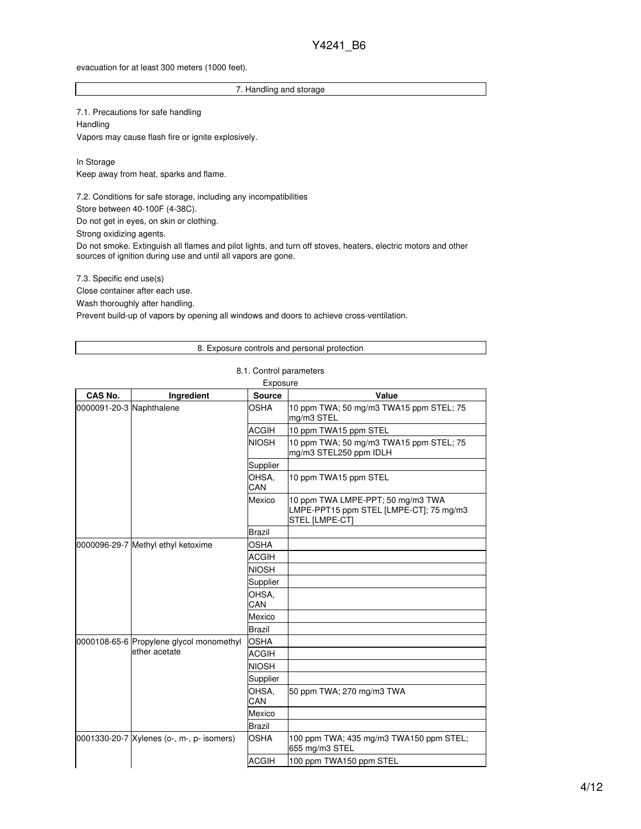#### evacuation for at least 300 meters (1000 feet).

### 7. Handling and storage

7.1. Precautions for safe handling **Handling** Vapors may cause flash fire or ignite explosively.

In Storage Keep away from heat, sparks and flame.

7.2. Conditions for safe storage, including any incompatibilities

Store between 40-100F (4-38C).

Do not get in eyes, on skin or clothing.

Strong oxidizing agents.

Do not smoke. Extinguish all flames and pilot lights, and turn off stoves, heaters, electric motors and other sources of ignition during use and until all vapors are gone.

7.3. Specific end use(s)

Close container after each use.

Wash thoroughly after handling.

Prevent build-up of vapors by opening all windows and doors to achieve cross-ventilation.

#### 8. Exposure controls and personal protection

### 8.1. Control parameters

| Exposure                 |                                                           |               |                                                                                                |  |
|--------------------------|-----------------------------------------------------------|---------------|------------------------------------------------------------------------------------------------|--|
| CAS No.                  | Ingredient                                                | <b>Source</b> | Value                                                                                          |  |
| 0000091-20-3 Naphthalene |                                                           | OSHA          | 10 ppm TWA; 50 mg/m3 TWA15 ppm STEL; 75<br>mg/m3 STEL                                          |  |
|                          |                                                           | <b>ACGIH</b>  | 10 ppm TWA15 ppm STEL                                                                          |  |
|                          |                                                           | <b>NIOSH</b>  | 10 ppm TWA; 50 mg/m3 TWA15 ppm STEL; 75<br>mg/m3 STEL250 ppm IDLH                              |  |
|                          |                                                           | Supplier      |                                                                                                |  |
|                          |                                                           | OHSA,<br>CAN  | 10 ppm TWA15 ppm STEL                                                                          |  |
|                          |                                                           | Mexico        | 10 ppm TWA LMPE-PPT; 50 mg/m3 TWA<br>LMPE-PPT15 ppm STEL [LMPE-CT]; 75 mg/m3<br>STEL [LMPE-CT] |  |
|                          |                                                           | <b>Brazil</b> |                                                                                                |  |
|                          | 0000096-29-7 Methyl ethyl ketoxime                        | <b>OSHA</b>   |                                                                                                |  |
|                          |                                                           | <b>ACGIH</b>  |                                                                                                |  |
|                          |                                                           | <b>NIOSH</b>  |                                                                                                |  |
|                          |                                                           | Supplier      |                                                                                                |  |
|                          |                                                           | OHSA,<br>CAN  |                                                                                                |  |
|                          |                                                           | Mexico        |                                                                                                |  |
|                          |                                                           | <b>Brazil</b> |                                                                                                |  |
|                          | 0000108-65-6 Propylene glycol monomethyl<br>ether acetate | <b>OSHA</b>   |                                                                                                |  |
|                          |                                                           | <b>ACGIH</b>  |                                                                                                |  |
|                          |                                                           | <b>NIOSH</b>  |                                                                                                |  |
|                          |                                                           | Supplier      |                                                                                                |  |
|                          |                                                           | OHSA,<br>CAN  | 50 ppm TWA; 270 mg/m3 TWA                                                                      |  |
|                          |                                                           | Mexico        |                                                                                                |  |
|                          |                                                           | <b>Brazil</b> |                                                                                                |  |
|                          | 0001330-20-7 Xylenes (o-, m-, p- isomers)                 | <b>OSHA</b>   | 100 ppm TWA; 435 mg/m3 TWA150 ppm STEL;<br>655 mg/m3 STEL                                      |  |
|                          |                                                           | <b>ACGIH</b>  | 100 ppm TWA150 ppm STEL                                                                        |  |
|                          |                                                           |               |                                                                                                |  |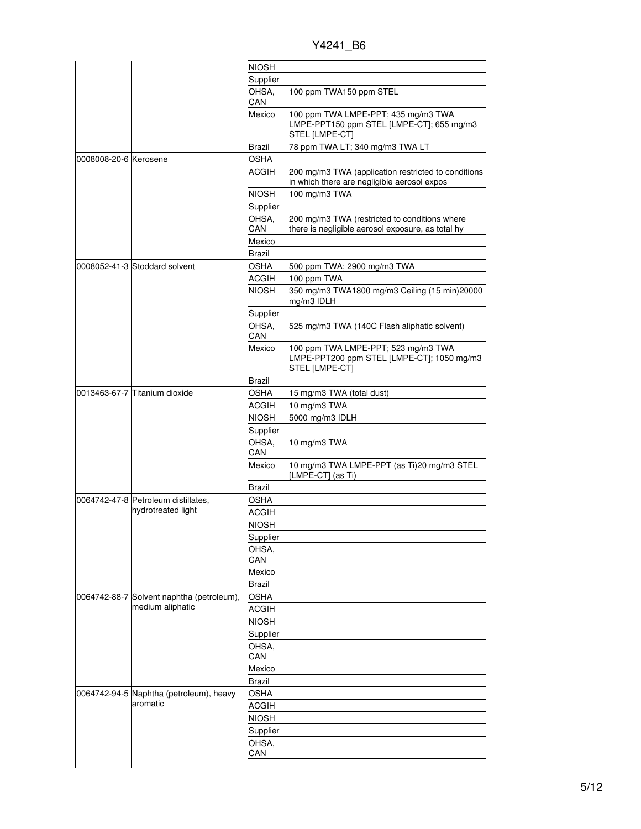Y4241\_B6

|                       |                                                               | <b>NIOSH</b>  |                                                                                                     |
|-----------------------|---------------------------------------------------------------|---------------|-----------------------------------------------------------------------------------------------------|
|                       |                                                               | Supplier      |                                                                                                     |
|                       |                                                               | OHSA.<br>CAN  | 100 ppm TWA150 ppm STEL                                                                             |
|                       |                                                               | Mexico        | 100 ppm TWA LMPE-PPT; 435 mg/m3 TWA<br>LMPE-PPT150 ppm STEL [LMPE-CT]; 655 mg/m3<br>STEL [LMPE-CT]  |
|                       |                                                               | Brazil        | 78 ppm TWA LT; 340 mg/m3 TWA LT                                                                     |
| 0008008-20-6 Kerosene |                                                               | <b>OSHA</b>   |                                                                                                     |
|                       |                                                               | ACGIH         | 200 mg/m3 TWA (application restricted to conditions<br>in which there are negligible aerosol expos  |
|                       |                                                               | <b>NIOSH</b>  | 100 mg/m3 TWA                                                                                       |
|                       |                                                               | Supplier      |                                                                                                     |
|                       |                                                               | OHSA.         | 200 mg/m3 TWA (restricted to conditions where                                                       |
|                       |                                                               | CAN           | there is negligible aerosol exposure, as total hy                                                   |
|                       |                                                               | Mexico        |                                                                                                     |
|                       |                                                               | Brazil        |                                                                                                     |
|                       | 0008052-41-3 Stoddard solvent                                 | <b>OSHA</b>   | 500 ppm TWA; 2900 mg/m3 TWA                                                                         |
|                       |                                                               | <b>ACGIH</b>  | 100 ppm TWA                                                                                         |
|                       |                                                               | <b>NIOSH</b>  | 350 mg/m3 TWA1800 mg/m3 Ceiling (15 min)20000<br>mg/m3 IDLH                                         |
|                       |                                                               | Supplier      |                                                                                                     |
|                       |                                                               | OHSA.<br>CAN  | 525 mg/m3 TWA (140C Flash aliphatic solvent)                                                        |
|                       |                                                               | Mexico        | 100 ppm TWA LMPE-PPT; 523 mg/m3 TWA<br>LMPE-PPT200 ppm STEL [LMPE-CT]; 1050 mg/m3<br>STEL [LMPE-CT] |
|                       |                                                               | Brazil        |                                                                                                     |
|                       | 0013463-67-7 Titanium dioxide                                 | <b>OSHA</b>   | 15 mg/m3 TWA (total dust)                                                                           |
|                       |                                                               | ACGIH         | 10 mg/m3 TWA                                                                                        |
|                       |                                                               | <b>NIOSH</b>  | 5000 mg/m3 IDLH                                                                                     |
|                       |                                                               | Supplier      |                                                                                                     |
|                       |                                                               | OHSA,<br>CAN  | 10 mg/m3 TWA                                                                                        |
|                       |                                                               | Mexico        | 10 mg/m3 TWA LMPE-PPT (as Ti)20 mg/m3 STEL<br>[LMPE-CT] (as Ti)                                     |
|                       |                                                               | Brazil        |                                                                                                     |
|                       | 0064742-47-8 Petroleum distillates,<br>hydrotreated light     | OSHA          |                                                                                                     |
|                       |                                                               | ACGIH         |                                                                                                     |
|                       |                                                               | <b>NIOSH</b>  |                                                                                                     |
|                       |                                                               | Supplier      |                                                                                                     |
|                       |                                                               | OHSA,         |                                                                                                     |
|                       |                                                               | CAN           |                                                                                                     |
|                       |                                                               | Mexico        |                                                                                                     |
|                       |                                                               | <b>Brazil</b> |                                                                                                     |
|                       |                                                               | <b>OSHA</b>   |                                                                                                     |
|                       | 0064742-88-7 Solvent naphtha (petroleum),<br>medium aliphatic | <b>ACGIH</b>  |                                                                                                     |
|                       |                                                               | <b>NIOSH</b>  |                                                                                                     |
|                       |                                                               |               |                                                                                                     |
|                       |                                                               | Supplier      |                                                                                                     |
|                       |                                                               | OHSA,<br>CAN  |                                                                                                     |
|                       |                                                               | Mexico        |                                                                                                     |
|                       |                                                               | <b>Brazil</b> |                                                                                                     |
|                       |                                                               |               |                                                                                                     |
|                       | 0064742-94-5 Naphtha (petroleum), heavy<br>aromatic           | <b>OSHA</b>   |                                                                                                     |
|                       |                                                               | <b>ACGIH</b>  |                                                                                                     |
|                       |                                                               | <b>NIOSH</b>  |                                                                                                     |
|                       |                                                               | Supplier      |                                                                                                     |
|                       |                                                               | OHSA,         |                                                                                                     |
|                       |                                                               | CAN           |                                                                                                     |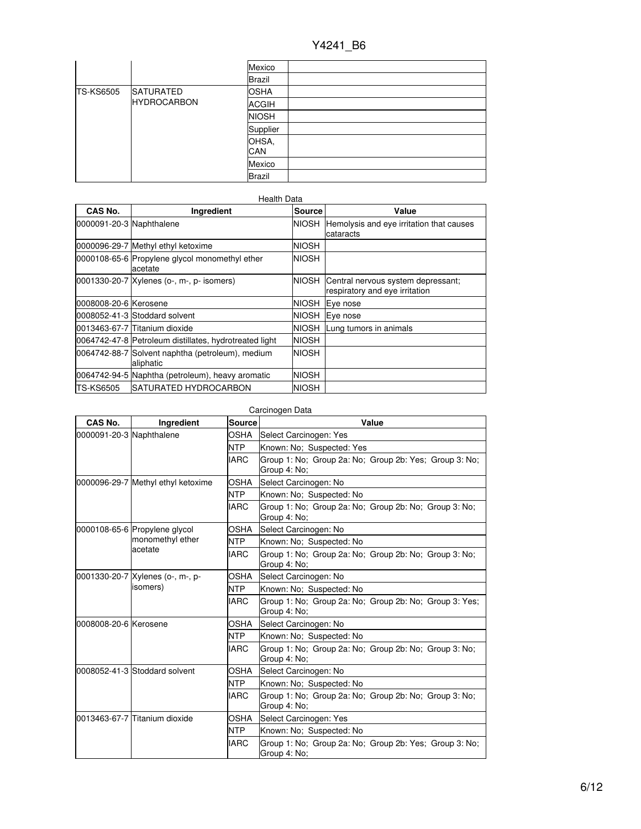|                  |                    | Mexico        |  |
|------------------|--------------------|---------------|--|
|                  |                    | Brazil        |  |
| <b>TS-KS6505</b> | <b>SATURATED</b>   | <b>OSHA</b>   |  |
|                  | <b>HYDROCARBON</b> | <b>ACGIH</b>  |  |
|                  |                    | <b>NIOSH</b>  |  |
|                  | Supplier           |               |  |
|                  | OHSA,<br>CAN       |               |  |
|                  |                    | Mexico        |  |
|                  |                    | <b>Brazil</b> |  |

| CAS No.                  | Ingredient                                                    | Source       | Value                                                                |
|--------------------------|---------------------------------------------------------------|--------------|----------------------------------------------------------------------|
| 0000091-20-3 Naphthalene |                                                               | NIOSH        | Hemolysis and eye irritation that causes<br>cataracts                |
|                          | 0000096-29-7 Methyl ethyl ketoxime                            | NIOSH        |                                                                      |
|                          | 0000108-65-6 Propylene glycol monomethyl ether<br>acetate     | NIOSH        |                                                                      |
|                          | 0001330-20-7 Xylenes (o-, m-, p- isomers)                     | NIOSH        | Central nervous system depressant;<br>respiratory and eye irritation |
| 0008008-20-6 Kerosene    |                                                               | <b>NIOSH</b> | Eye nose                                                             |
|                          | 0008052-41-3 Stoddard solvent                                 | NIOSH        | Eye nose                                                             |
|                          | 0013463-67-7 Titanium dioxide                                 | NIOSH        | Lung tumors in animals                                               |
|                          | 0064742-47-8 Petroleum distillates, hydrotreated light        | <b>NIOSH</b> |                                                                      |
|                          | 0064742-88-7 Solvent naphtha (petroleum), medium<br>aliphatic | <b>NIOSH</b> |                                                                      |
|                          | 0064742-94-5 Naphtha (petroleum), heavy aromatic              | <b>NIOSH</b> |                                                                      |
| TS-KS6505                | SATURATED HYDROCARBON                                         | NIOSH        |                                                                      |

## Carcinogen Data

| CAS No.                  | Ingredient                                   | Source      | Value                                                                  |  |  |
|--------------------------|----------------------------------------------|-------------|------------------------------------------------------------------------|--|--|
| 0000091-20-3 Naphthalene |                                              | <b>OSHA</b> | Select Carcinogen: Yes                                                 |  |  |
|                          |                                              | <b>NTP</b>  | Known: No; Suspected: Yes                                              |  |  |
|                          |                                              | <b>IARC</b> | Group 1: No: Group 2a: No: Group 2b: Yes: Group 3: No:<br>Group 4: No; |  |  |
|                          | 0000096-29-7 Methyl ethyl ketoxime           | <b>OSHA</b> | Select Carcinogen: No                                                  |  |  |
|                          |                                              | <b>NTP</b>  | Known: No; Suspected: No                                               |  |  |
|                          |                                              | <b>IARC</b> | Group 1: No; Group 2a: No; Group 2b: No; Group 3: No;<br>Group 4: No:  |  |  |
|                          | 0000108-65-6 Propylene glycol                | OSHA        | Select Carcinogen: No                                                  |  |  |
|                          | monomethyl ether                             | <b>NTP</b>  | Known: No: Suspected: No                                               |  |  |
|                          | acetate                                      | <b>IARC</b> | Group 1: No; Group 2a: No; Group 2b: No; Group 3: No;<br>Group 4: No;  |  |  |
|                          | 0001330-20-7 Xylenes (o-, m-, p-<br>isomers) | OSHA        | Select Carcinogen: No                                                  |  |  |
|                          |                                              | <b>NTP</b>  | Known: No; Suspected: No                                               |  |  |
|                          |                                              | <b>IARC</b> | Group 1: No: Group 2a: No: Group 2b: No: Group 3: Yes:<br>Group 4: No: |  |  |
| 0008008-20-6 Kerosene    |                                              | OSHA        | Select Carcinogen: No                                                  |  |  |
|                          |                                              | <b>NTP</b>  | Known: No; Suspected: No                                               |  |  |
|                          |                                              | <b>IARC</b> | Group 1: No; Group 2a: No; Group 2b: No; Group 3: No;<br>Group 4: No;  |  |  |
|                          | 0008052-41-3 Stoddard solvent<br><b>NTP</b>  | <b>OSHA</b> | Select Carcinogen: No                                                  |  |  |
|                          |                                              |             | Known: No; Suspected: No                                               |  |  |
|                          |                                              | <b>IARC</b> | Group 1: No; Group 2a: No; Group 2b: No; Group 3: No;<br>Group 4: No;  |  |  |
|                          | 0013463-67-7 Titanium dioxide                | <b>OSHA</b> | Select Carcinogen: Yes                                                 |  |  |
|                          |                                              | <b>NTP</b>  | Known: No: Suspected: No                                               |  |  |
|                          |                                              | <b>IARC</b> | Group 1: No; Group 2a: No; Group 2b: Yes; Group 3: No;<br>Group 4: No: |  |  |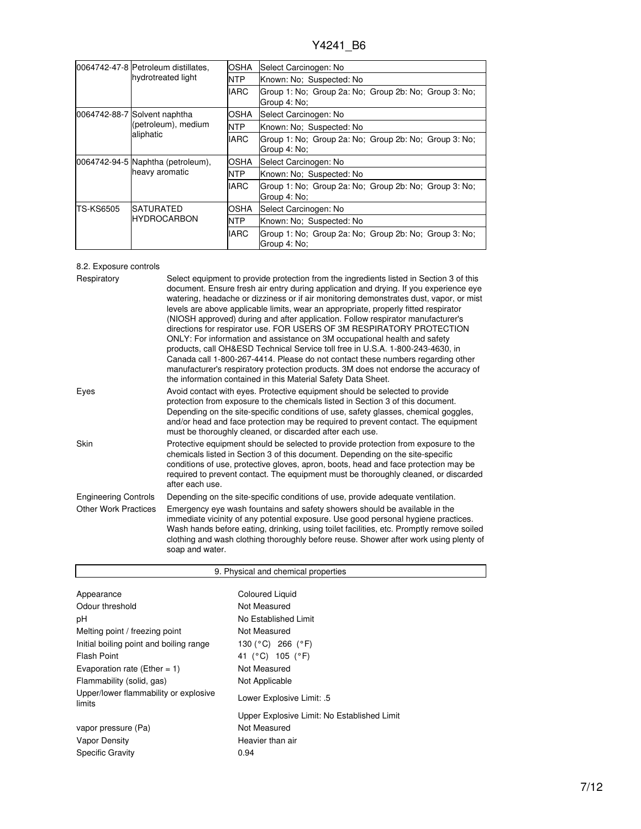|           | 0064742-47-8 Petroleum distillates,<br>hydrotreated light        | OSHA        | Select Carcinogen: No                                                 |  |
|-----------|------------------------------------------------------------------|-------------|-----------------------------------------------------------------------|--|
|           |                                                                  | <b>NTP</b>  | Known: No: Suspected: No                                              |  |
|           |                                                                  | <b>IARC</b> | Group 1: No; Group 2a: No; Group 2b: No; Group 3: No;<br>Group 4: No; |  |
|           | 0064742-88-7 Solvent naphtha<br>(petroleum), medium<br>aliphatic | OSHA        | Select Carcinogen: No                                                 |  |
|           |                                                                  | <b>NTP</b>  | Known: No: Suspected: No                                              |  |
|           |                                                                  | <b>IARC</b> | Group 1: No; Group 2a: No; Group 2b: No; Group 3: No;<br>Group 4: No: |  |
|           | 0064742-94-5 Naphtha (petroleum),<br>heavy aromatic              | OSHA        | Select Carcinogen: No                                                 |  |
|           |                                                                  | <b>NTP</b>  | Known: No: Suspected: No                                              |  |
|           |                                                                  | <b>IARC</b> | Group 1: No; Group 2a: No; Group 2b: No; Group 3: No;<br>Group 4: No: |  |
| TS-KS6505 | <b>SATURATED</b><br><b>HYDROCARBON</b>                           | <b>OSHA</b> | Select Carcinogen: No                                                 |  |
|           |                                                                  | <b>NTP</b>  | Known: No: Suspected: No                                              |  |
|           |                                                                  | <b>IARC</b> | Group 1: No; Group 2a: No; Group 2b: No; Group 3: No;<br>Group 4: No: |  |

## 8.2. Exposure controls

| Respiratory                 | Select equipment to provide protection from the ingredients listed in Section 3 of this<br>document. Ensure fresh air entry during application and drying. If you experience eye<br>watering, headache or dizziness or if air monitoring demonstrates dust, vapor, or mist<br>levels are above applicable limits, wear an appropriate, properly fitted respirator<br>(NIOSH approved) during and after application. Follow respirator manufacturer's<br>directions for respirator use. FOR USERS OF 3M RESPIRATORY PROTECTION<br>ONLY: For information and assistance on 3M occupational health and safety<br>products, call OH&ESD Technical Service toll free in U.S.A. 1-800-243-4630, in<br>Canada call 1-800-267-4414. Please do not contact these numbers regarding other<br>manufacturer's respiratory protection products. 3M does not endorse the accuracy of<br>the information contained in this Material Safety Data Sheet. |
|-----------------------------|-----------------------------------------------------------------------------------------------------------------------------------------------------------------------------------------------------------------------------------------------------------------------------------------------------------------------------------------------------------------------------------------------------------------------------------------------------------------------------------------------------------------------------------------------------------------------------------------------------------------------------------------------------------------------------------------------------------------------------------------------------------------------------------------------------------------------------------------------------------------------------------------------------------------------------------------|
| Eyes                        | Avoid contact with eyes. Protective equipment should be selected to provide<br>protection from exposure to the chemicals listed in Section 3 of this document.<br>Depending on the site-specific conditions of use, safety glasses, chemical goggles,<br>and/or head and face protection may be required to prevent contact. The equipment<br>must be thoroughly cleaned, or discarded after each use.                                                                                                                                                                                                                                                                                                                                                                                                                                                                                                                                  |
| Skin                        | Protective equipment should be selected to provide protection from exposure to the<br>chemicals listed in Section 3 of this document. Depending on the site-specific<br>conditions of use, protective gloves, apron, boots, head and face protection may be<br>required to prevent contact. The equipment must be thoroughly cleaned, or discarded<br>after each use.                                                                                                                                                                                                                                                                                                                                                                                                                                                                                                                                                                   |
| <b>Engineering Controls</b> | Depending on the site-specific conditions of use, provide adequate ventilation.                                                                                                                                                                                                                                                                                                                                                                                                                                                                                                                                                                                                                                                                                                                                                                                                                                                         |
| <b>Other Work Practices</b> | Emergency eye wash fountains and safety showers should be available in the<br>immediate vicinity of any potential exposure. Use good personal hygiene practices.<br>Wash hands before eating, drinking, using toilet facilities, etc. Promptly remove soiled<br>clothing and wash clothing thoroughly before reuse. Shower after work using plenty of<br>soap and water.                                                                                                                                                                                                                                                                                                                                                                                                                                                                                                                                                                |

| 9. Physical and chemical properties             |                                             |  |  |
|-------------------------------------------------|---------------------------------------------|--|--|
|                                                 |                                             |  |  |
| Appearance                                      | <b>Coloured Liquid</b>                      |  |  |
| Odour threshold                                 | Not Measured                                |  |  |
| рH                                              | No Established Limit                        |  |  |
| Melting point / freezing point                  | Not Measured                                |  |  |
| Initial boiling point and boiling range         | 130 (°C) 266 (°F)                           |  |  |
| <b>Flash Point</b>                              | 41 (°C) 105 (°F)                            |  |  |
| Evaporation rate (Ether = 1)                    | Not Measured                                |  |  |
| Flammability (solid, gas)                       | Not Applicable                              |  |  |
| Upper/lower flammability or explosive<br>limits | Lower Explosive Limit: .5                   |  |  |
|                                                 | Upper Explosive Limit: No Established Limit |  |  |
| vapor pressure (Pa)                             | Not Measured                                |  |  |
| <b>Vapor Density</b>                            | Heavier than air                            |  |  |
| <b>Specific Gravity</b>                         | 0.94                                        |  |  |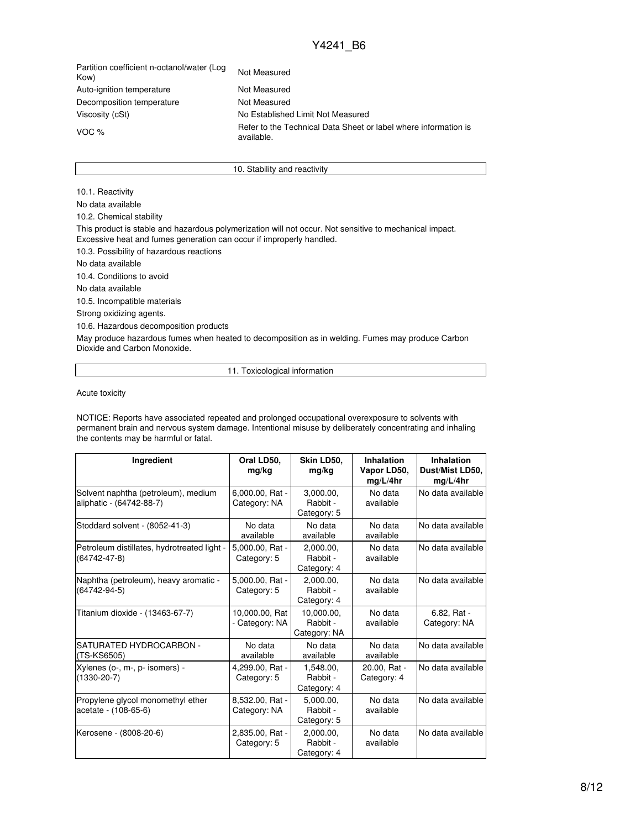Partition coefficient n-octanol/water (Log Kow) Not Measured Auto-ignition temperature Not Measured Decomposition temperature Not Measured Viscosity (cSt) Mo Established Limit Not Measured VOC % Refer to the Technical Data Sheet or label where information is available.

#### 10. Stability and reactivity

10.1. Reactivity No data available 10.2. Chemical stability This product is stable and hazardous polymerization will not occur. Not sensitive to mechanical impact. Excessive heat and fumes generation can occur if improperly handled. 10.3. Possibility of hazardous reactions No data available 10.4. Conditions to avoid No data available 10.5. Incompatible materials Strong oxidizing agents. 10.6. Hazardous decomposition products May produce hazardous fumes when heated to decomposition as in welding. Fumes may produce Carbon Dioxide and Carbon Monoxide.

11. Toxicological information

Acute toxicity

NOTICE: Reports have associated repeated and prolonged occupational overexposure to solvents with permanent brain and nervous system damage. Intentional misuse by deliberately concentrating and inhaling the contents may be harmful or fatal.

| Ingredient                                                      | Oral LD50,<br>mg/kg              | Skin LD50,<br>mg/kg                    | Inhalation<br>Vapor LD50,<br>mq/L/4hr | Inhalation<br>Dust/Mist LD50,<br>mq/L/4hr |
|-----------------------------------------------------------------|----------------------------------|----------------------------------------|---------------------------------------|-------------------------------------------|
| Solvent naphtha (petroleum), medium<br>aliphatic - (64742-88-7) | 6,000.00, Rat -<br>Category: NA  | 3,000.00,<br>Rabbit -<br>Category: 5   | No data<br>available                  | No data available                         |
| Stoddard solvent - (8052-41-3)                                  | No data<br>available             | No data<br>available                   | No data<br>available                  | No data available                         |
| Petroleum distillates, hydrotreated light -<br>(64742-47-8)     | 5,000.00, Rat -<br>Category: 5   | 2,000.00,<br>Rabbit -<br>Category: 4   | No data<br>available                  | No data available                         |
| Naphtha (petroleum), heavy aromatic -<br>(64742-94-5)           | 5,000.00, Rat -<br>Category: 5   | 2,000.00,<br>Rabbit -<br>Category: 4   | No data<br>available                  | No data available                         |
| Titanium dioxide - (13463-67-7)                                 | 10,000.00, Rat<br>- Category: NA | 10,000.00,<br>Rabbit -<br>Category: NA | No data<br>available                  | 6.82, Rat -<br>Category: NA               |
| SATURATED HYDROCARBON -<br>(TS-KS6505)                          | No data<br>available             | No data<br>available                   | No data<br>available                  | No data available                         |
| Xylenes (o-, m-, p- isomers) -<br>$(1330 - 20 - 7)$             | 4,299.00, Rat -<br>Category: 5   | 1.548.00.<br>Rabbit -<br>Category: 4   | 20.00, Rat -<br>Category: 4           | No data available                         |
| Propylene glycol monomethyl ether<br>acetate - (108-65-6)       | 8,532.00, Rat -<br>Category: NA  | 5.000.00.<br>Rabbit -<br>Category: 5   | No data<br>available                  | No data available                         |
| Kerosene - (8008-20-6)                                          | 2,835.00, Rat -<br>Category: 5   | 2,000.00,<br>Rabbit -<br>Category: 4   | No data<br>available                  | No data available                         |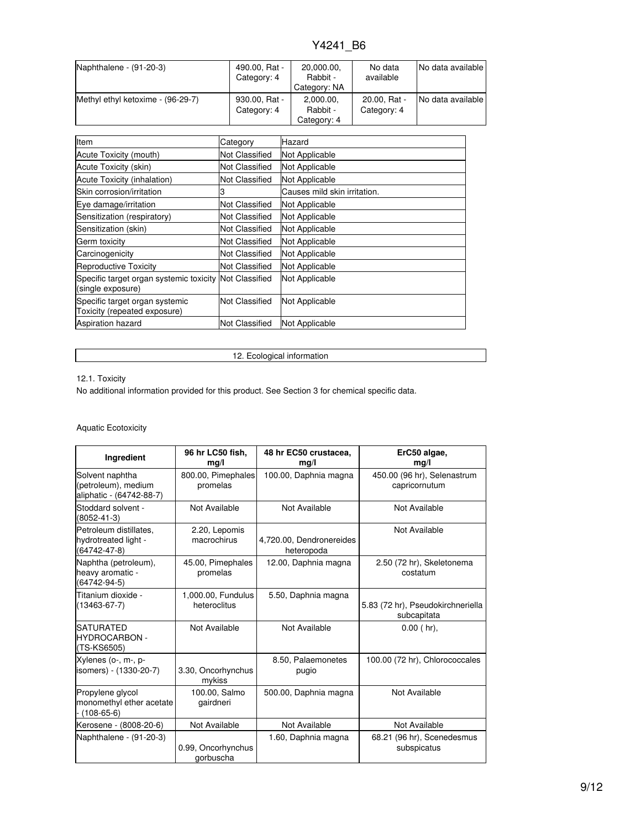| Naphthalene - (91-20-3)           | 490.00, Rat -<br>Category: 4 | 20,000.00,<br>Rabbit -<br>Category: NA | No data<br>available        | No data available |
|-----------------------------------|------------------------------|----------------------------------------|-----------------------------|-------------------|
| Methyl ethyl ketoxime - (96-29-7) | 930.00, Rat -<br>Category: 4 | 2,000.00,<br>Rabbit -<br>Category: 4   | 20.00, Rat -<br>Category: 4 | No data available |

| Item                                                                        | Category              | Hazard                       |
|-----------------------------------------------------------------------------|-----------------------|------------------------------|
| Acute Toxicity (mouth)                                                      | Not Classified        | Not Applicable               |
| Acute Toxicity (skin)                                                       | Not Classified        | Not Applicable               |
| Acute Toxicity (inhalation)                                                 | <b>Not Classified</b> | Not Applicable               |
| Skin corrosion/irritation                                                   | 3                     | Causes mild skin irritation. |
| Eye damage/irritation                                                       | Not Classified        | Not Applicable               |
| Sensitization (respiratory)                                                 | Not Classified        | Not Applicable               |
| Sensitization (skin)                                                        | <b>Not Classified</b> | Not Applicable               |
| Germ toxicity                                                               | Not Classified        | Not Applicable               |
| Carcinogenicity                                                             | Not Classified        | Not Applicable               |
| Reproductive Toxicity                                                       | Not Classified        | Not Applicable               |
| Specific target organ systemic toxicity Not Classified<br>(single exposure) |                       | Not Applicable               |
| Specific target organ systemic<br>Toxicity (repeated exposure)              | Not Classified        | Not Applicable               |
| <b>Aspiration hazard</b>                                                    | <b>Not Classified</b> | Not Applicable               |

12. Ecological information

## 12.1. Toxicity

No additional information provided for this product. See Section 3 for chemical specific data.

## Aquatic Ecotoxicity

| Ingredient                                                           | 96 hr LC50 fish.<br>mg/l           | 48 hr EC50 crustacea,<br>mq/l          | ErC50 algae,<br>mg/l                             |
|----------------------------------------------------------------------|------------------------------------|----------------------------------------|--------------------------------------------------|
| Solvent naphtha<br>(petroleum), medium<br>aliphatic - (64742-88-7)   | 800.00, Pimephales<br>promelas     | 100.00, Daphnia magna                  | 450.00 (96 hr), Selenastrum<br>capricornutum     |
| Stoddard solvent -<br>$(8052 - 41 - 3)$                              | Not Available                      | Not Available                          | Not Available                                    |
| Petroleum distillates.<br>hydrotreated light -<br>$(64742 - 47 - 8)$ | 2.20, Lepomis<br>macrochirus       | 4,720.00, Dendronereides<br>heteropoda | Not Available                                    |
| Naphtha (petroleum),<br>heavy aromatic -<br>(64742-94-5)             | 45.00, Pimephales<br>promelas      | 12.00, Daphnia magna                   | 2.50 (72 hr), Skeletonema<br>costatum            |
| Titanium dioxide -<br>$(13463 - 67 - 7)$                             | 1,000.00, Fundulus<br>heteroclitus | 5.50, Daphnia magna                    | 5.83 (72 hr), Pseudokirchneriella<br>subcapitata |
| <b>SATURATED</b><br><b>HYDROCARBON -</b><br>(TS-KS6505)              | Not Available                      | Not Available                          | $0.00$ ( $hr$ ),                                 |
| Xylenes (o-, m-, p-<br>isomers) - (1330-20-7)                        | 3.30, Oncorhynchus<br>mykiss       | 8.50, Palaemonetes<br>pugio            | 100.00 (72 hr), Chlorococcales                   |
| Propylene glycol<br>monomethyl ether acetate<br>$(108 - 65 - 6)$     | 100.00, Salmo<br>gairdneri         | 500.00, Daphnia magna                  | Not Available                                    |
| Kerosene - (8008-20-6)                                               | Not Available                      | Not Available                          | Not Available                                    |
| Naphthalene - (91-20-3)                                              | 0.99, Oncorhynchus<br>gorbuscha    | 1.60, Daphnia magna                    | 68.21 (96 hr), Scenedesmus<br>subspicatus        |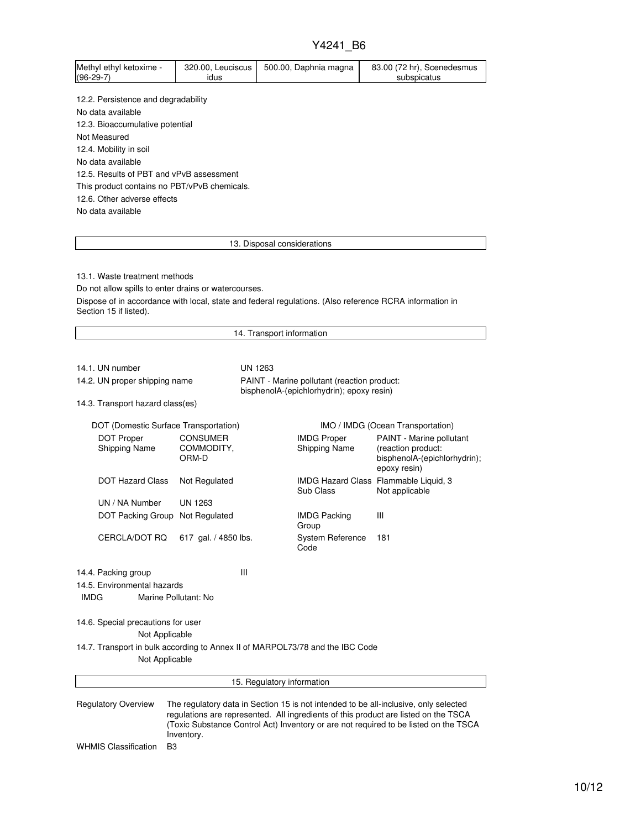|                                                                              |                                        | Y4241 B6                                                                                                |                                                                                |  |  |
|------------------------------------------------------------------------------|----------------------------------------|---------------------------------------------------------------------------------------------------------|--------------------------------------------------------------------------------|--|--|
| Methyl ethyl ketoxime -<br>$(96-29-7)$                                       | 320.00, Leuciscus<br>idus              | 500.00, Daphnia magna                                                                                   | 83.00 (72 hr), Scenedesmus<br>subspicatus                                      |  |  |
| 12.2. Persistence and degradability                                          |                                        |                                                                                                         |                                                                                |  |  |
| No data available                                                            |                                        |                                                                                                         |                                                                                |  |  |
| 12.3. Bioaccumulative potential                                              |                                        |                                                                                                         |                                                                                |  |  |
| Not Measured                                                                 |                                        |                                                                                                         |                                                                                |  |  |
| 12.4. Mobility in soil                                                       |                                        |                                                                                                         |                                                                                |  |  |
| No data available                                                            |                                        |                                                                                                         |                                                                                |  |  |
| 12.5. Results of PBT and vPvB assessment                                     |                                        |                                                                                                         |                                                                                |  |  |
| This product contains no PBT/vPvB chemicals.                                 |                                        |                                                                                                         |                                                                                |  |  |
| 12.6. Other adverse effects                                                  |                                        |                                                                                                         |                                                                                |  |  |
| No data available                                                            |                                        |                                                                                                         |                                                                                |  |  |
|                                                                              |                                        |                                                                                                         |                                                                                |  |  |
|                                                                              |                                        | 13. Disposal considerations                                                                             |                                                                                |  |  |
|                                                                              |                                        |                                                                                                         |                                                                                |  |  |
| 13.1. Waste treatment methods                                                |                                        |                                                                                                         |                                                                                |  |  |
| Do not allow spills to enter drains or watercourses.                         |                                        |                                                                                                         |                                                                                |  |  |
|                                                                              |                                        | Dispose of in accordance with local, state and federal regulations. (Also reference RCRA information in |                                                                                |  |  |
| Section 15 if listed).                                                       |                                        |                                                                                                         |                                                                                |  |  |
|                                                                              |                                        | 14. Transport information                                                                               |                                                                                |  |  |
|                                                                              |                                        |                                                                                                         |                                                                                |  |  |
| 14.1. UN number                                                              |                                        | <b>UN 1263</b>                                                                                          |                                                                                |  |  |
| 14.2. UN proper shipping name<br>PAINT - Marine pollutant (reaction product: |                                        |                                                                                                         |                                                                                |  |  |
|                                                                              |                                        | bisphenolA-(epichlorhydrin); epoxy resin)                                                               |                                                                                |  |  |
| 14.3. Transport hazard class(es)                                             |                                        |                                                                                                         |                                                                                |  |  |
| DOT (Domestic Surface Transportation)                                        |                                        |                                                                                                         | IMO / IMDG (Ocean Transportation)                                              |  |  |
| <b>DOT Proper</b><br><b>Shipping Name</b>                                    | <b>CONSUMER</b><br>COMMODITY,<br>ORM-D | <b>IMDG Proper</b><br><b>Shipping Name</b>                                                              | PAINT - Marine pollutant<br>(reaction product:<br>bisphenolA-(epichlorhydrin); |  |  |

epoxy resin) DOT Hazard Class Not Regulated Sub Class IMDG Hazard Class Flammable Liquid, 3 Not applicable UN / NA Number UN 1263 DOT Packing Group Not Regulated IMDG Packing Group III CERCLA/DOT RQ 617 gal. / 4850 lbs. System Reference Code 181 14.4. Packing group III 14.5. Environmental hazards IMDG Marine Pollutant: No 14.6. Special precautions for user Not Applicable 14.7. Transport in bulk according to Annex II of MARPOL73/78 and the IBC Code Not Applicable 15. Regulatory information Regulatory Overview The regulatory data in Section 15 is not intended to be all-inclusive, only selected

regulations are represented. All ingredients of this product are listed on the TSCA (Toxic Substance Control Act) Inventory or are not required to be listed on the TSCA Inventory.

WHMIS Classification B3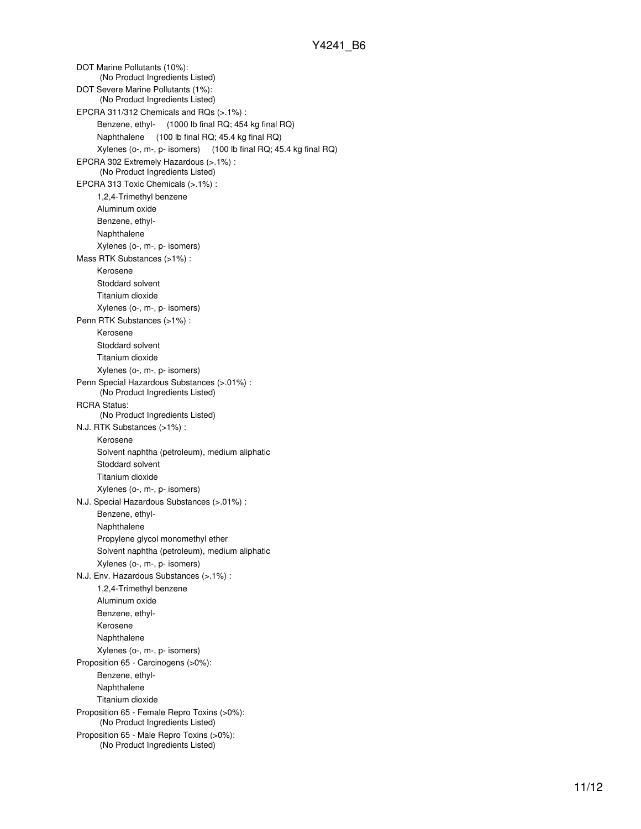DOT Marine Pollutants (10%): (No Product Ingredients Listed) DOT Severe Marine Pollutants (1%): (No Product Ingredients Listed) EPCRA 311/312 Chemicals and RQs (>.1%) : Benzene, ethyl- (1000 lb final RQ; 454 kg final RQ) Naphthalene (100 lb final RQ; 45.4 kg final RQ) Xylenes (o-, m-, p- isomers) (100 lb final RQ; 45.4 kg final RQ) EPCRA 302 Extremely Hazardous (>.1%) : (No Product Ingredients Listed) EPCRA 313 Toxic Chemicals (>.1%) : 1,2,4-Trimethyl benzene Aluminum oxide Benzene, ethyl-Naphthalene Xylenes (o-, m-, p- isomers) Mass RTK Substances (>1%) : Kerosene Stoddard solvent Titanium dioxide Xylenes (o-, m-, p- isomers) Penn RTK Substances (>1%) : Kerosene Stoddard solvent Titanium dioxide Xylenes (o-, m-, p- isomers) Penn Special Hazardous Substances (>.01%) : (No Product Ingredients Listed) RCRA Status: (No Product Ingredients Listed) N.J. RTK Substances (>1%) : Kerosene Solvent naphtha (petroleum), medium aliphatic Stoddard solvent Titanium dioxide Xylenes (o-, m-, p- isomers) N.J. Special Hazardous Substances (>.01%) : Benzene, ethyl-Naphthalene Propylene glycol monomethyl ether Solvent naphtha (petroleum), medium aliphatic Xylenes (o-, m-, p- isomers) N.J. Env. Hazardous Substances (>.1%) : 1,2,4-Trimethyl benzene Aluminum oxide Benzene, ethyl-Kerosene Naphthalene Xylenes (o-, m-, p- isomers) Proposition 65 - Carcinogens (>0%): Benzene, ethyl-Naphthalene Titanium dioxide Proposition 65 - Female Repro Toxins (>0%): (No Product Ingredients Listed) Proposition 65 - Male Repro Toxins (>0%): (No Product Ingredients Listed)